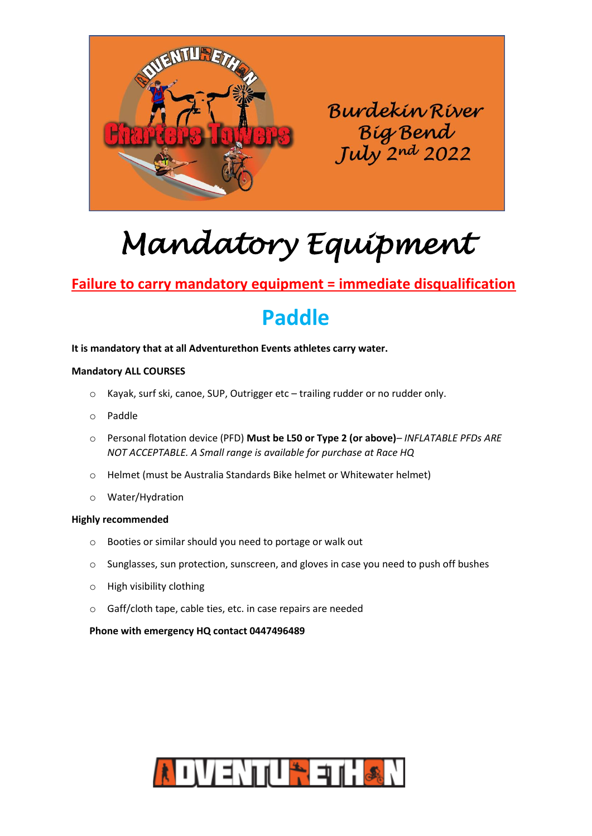

# *Mandatory Equipment*

## **Failure to carry mandatory equipment = immediate disqualification**

## **Paddle**

#### **It is mandatory that at all Adventurethon Events athletes carry water.**

#### **Mandatory ALL COURSES**

- o Kayak, surf ski, canoe, SUP, Outrigger etc trailing rudder or no rudder only.
- o Paddle
- o Personal flotation device (PFD) **Must be L50 or Type 2 (or above)***– INFLATABLE PFDs ARE NOT ACCEPTABLE. A Small range is available for purchase at Race HQ*
- o Helmet (must be Australia Standards Bike helmet or Whitewater helmet)
- o Water/Hydration

#### **Highly recommended**

- o Booties or similar should you need to portage or walk out
- o Sunglasses, sun protection, sunscreen, and gloves in case you need to push off bushes
- o High visibility clothing
- o Gaff/cloth tape, cable ties, etc. in case repairs are needed

#### **Phone with emergency HQ contact 0447496489**

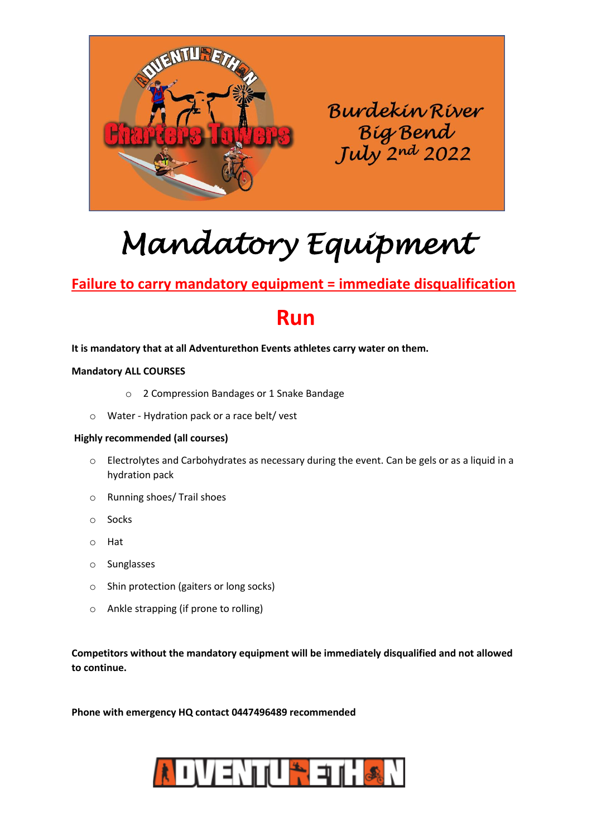

# *Mandatory Equipment*

### **Failure to carry mandatory equipment = immediate disqualification**

## **Run**

#### **It is mandatory that at all Adventurethon Events athletes carry water on them.**

#### **Mandatory ALL COURSES**

- o 2 Compression Bandages or 1 Snake Bandage
- o Water Hydration pack or a race belt/ vest

#### **Highly recommended (all courses)**

- o Electrolytes and Carbohydrates as necessary during the event. Can be gels or as a liquid in a hydration pack
- o Running shoes/ Trail shoes
- o Socks
- o Hat
- o Sunglasses
- o Shin protection (gaiters or long socks)
- o Ankle strapping (if prone to rolling)

**Competitors without the mandatory equipment will be immediately disqualified and not allowed to continue.**

**Phone with emergency HQ contact 0447496489 recommended**